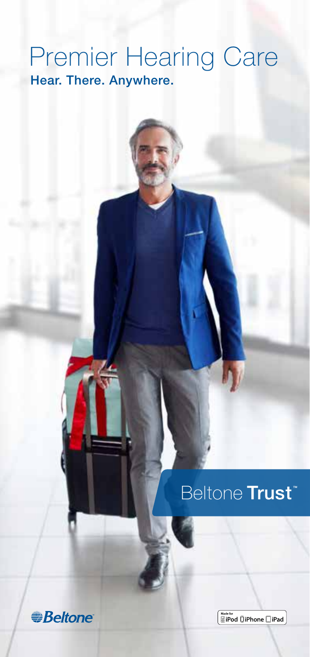### Premier Hearing Care Hear. There. Anywhere.

### Beltone Trust



Made for<br>**NiPod** [] iPhone **[**] iPad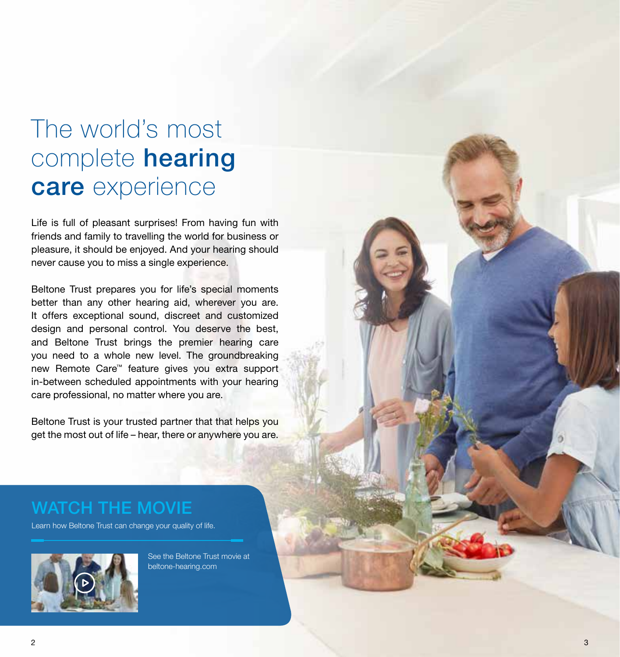# The world's most complete **hearing** care experience

Life is full of pleasant surprises! From having fun with friends and family to travelling the world for business or pleasure, it should be enjoyed. And your hearing should never cause you to miss a single experience.

Beltone Trust prepares you for life's special moments better than any other hearing aid, wherever you are. It offers exceptional sound, discreet and customized design and personal control. You deserve the best, and Beltone Trust brings the premier hearing care you need to a whole new level. The groundbreaking new Remote Care™ feature gives you extra support in-between scheduled appointments with your hearing care professional, no matter where you are.

Beltone Trust is your trusted partner that that helps you get the most out of life – hear, there or anywhere you are.

#### WATCH THE MOVIE

Learn how Beltone Trust can change your quality of life.

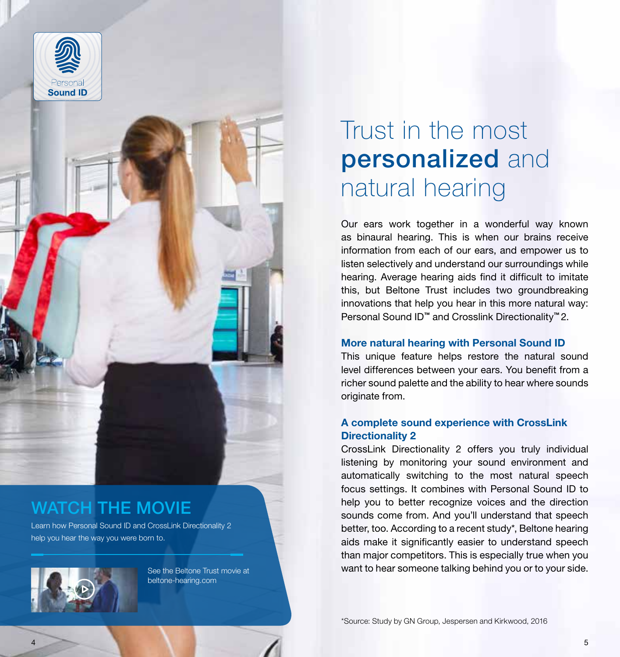



### WATCH THE MOVIE

Learn how Personal Sound ID and CrossLink Directionality 2 help you hear the way you were born to.



See the Beltone Trust movie at beltone-hearing.com

# Trust in the most personalized and natural hearing

Our ears work together in a wonderful way known as binaural hearing. This is when our brains receive information from each of our ears, and empower us to listen selectively and understand our surroundings while hearing. Average hearing aids find it difficult to imitate this, but Beltone Trust includes two groundbreaking innovations that help you hear in this more natural way: Personal Sound ID™ and Crosslink Directionality™ 2.

#### More natural hearing with Personal Sound ID

This unique feature helps restore the natural sound level differences between your ears. You benefit from a richer sound palette and the ability to hear where sounds originate from.

#### A complete sound experience with CrossLink Directionality 2

CrossLink Directionality 2 offers you truly individual listening by monitoring your sound environment and automatically switching to the most natural speech focus settings. It combines with Personal Sound ID to help you to better recognize voices and the direction sounds come from. And you'll understand that speech better, too. According to a recent study\*, Beltone hearing aids make it significantly easier to understand speech than major competitors. This is especially true when you want to hear someone talking behind you or to your side.

\*Source: Study by GN Group, Jespersen and Kirkwood, 2016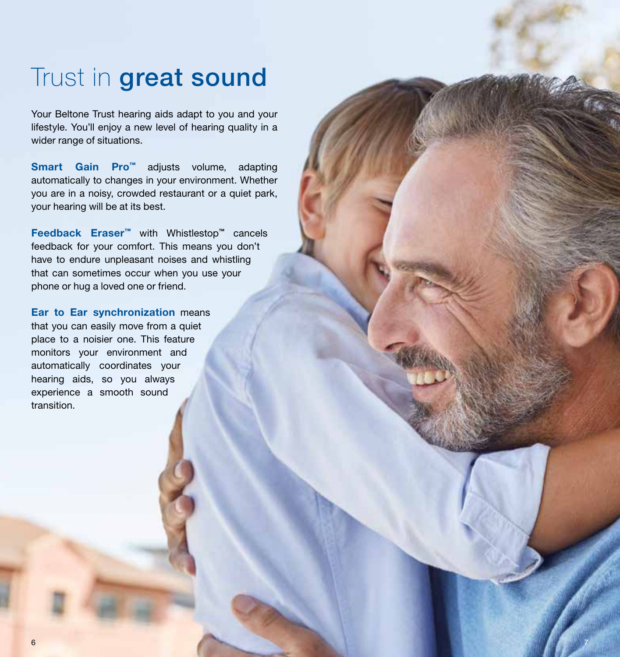## Trust in **great sound**

Your Beltone Trust hearing aids adapt to you and your lifestyle. You'll enjoy a new level of hearing quality in a wider range of situations.

Smart Gain Pro™ adjusts volume, adapting automatically to changes in your environment. Whether you are in a noisy, crowded restaurant or a quiet park, your hearing will be at its best.

Feedback Eraser™ with Whistlestop™ cancels feedback for your comfort. This means you don't have to endure unpleasant noises and whistling that can sometimes occur when you use your phone or hug a loved one or friend.

Ear to Ear synchronization means that you can easily move from a quiet place to a noisier one. This feature monitors your environment and automatically coordinates your hearing aids, so you always experience a smooth sound transition.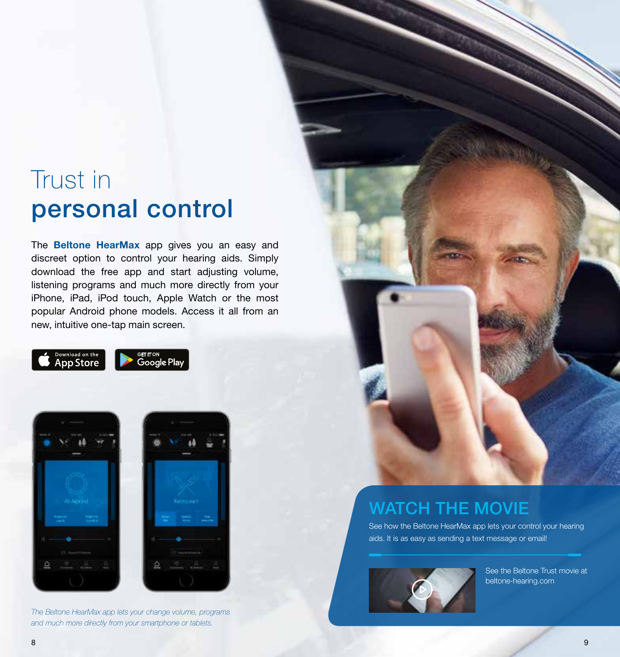## Trust in personal control

The **Beltone HearMax** app gives you an easy and discreet option to control your hearing aids. Simply download the free app and start adjusting volume, listening programs and much more directly from your iPhone, iPad, iPod touch, Apple Watch or the most popular Android phone models. Access it all from an new, intuitive one-tap main screen.







The Beltone HearMax app lets your change volume, programs and much more directly from your smartphone or tablets.



### WATCH THE MOVIE

See how the Beltone HearMax app lets your control your hearing aids. It is as easy as sending a text message or email!

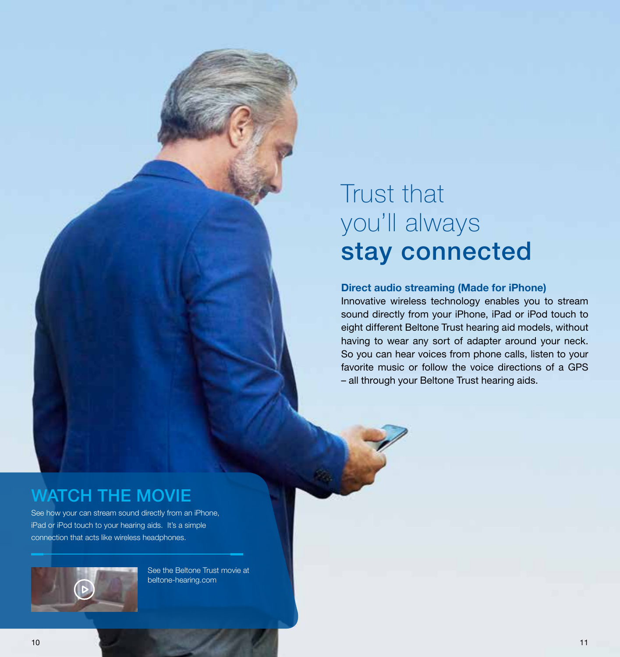# Trust that you'll always stay connected

#### Direct audio streaming (Made for iPhone)

Innovative wireless technology enables you to stream sound directly from your iPhone, iPad or iPod touch to eight different Beltone Trust hearing aid models, without having to wear any sort of adapter around your neck. So you can hear voices from phone calls, listen to your favorite music or follow the voice directions of a GPS – all through your Beltone Trust hearing aids.

#### WATCH THE MOVIE

See how your can stream sound directly from an iPhone, iPad or iPod touch to your hearing aids. It's a simple connection that acts like wireless headphones.

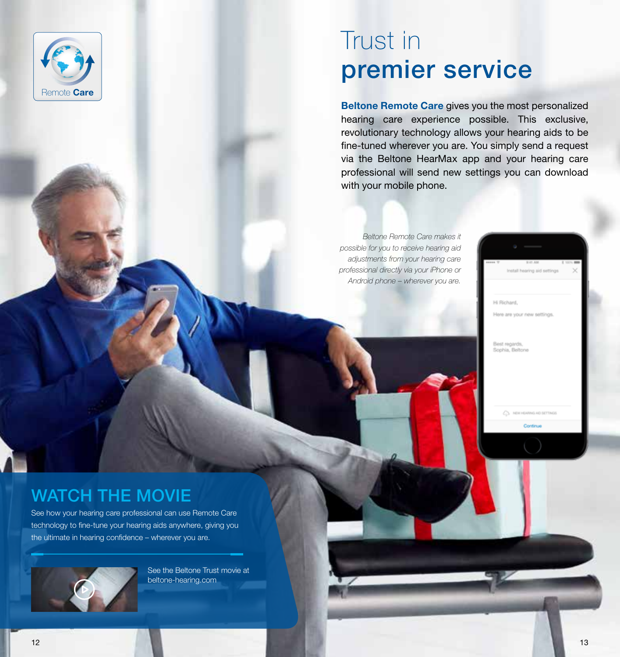

## Trust in premier service

Beltone Remote Care gives you the most personalized hearing care experience possible. This exclusive, revolutionary technology allows your hearing aids to be fine-tuned wherever you are. You simply send a request via the Beltone HearMax app and your hearing care professional will send new settings you can download with your mobile phone.

Beltone Remote Care makes it possible for you to receive hearing aid adjustments from your hearing care professional directly via your iPhone or Android phone – wherever you are.

Here are your new settings.

Continue

on aid setting

Best regards,<br>Sophia, Beltone

Hi Richard,

### WATCH THE MOVIE

See how your hearing care professional can use Remote Care technology to fine-tune your hearing aids anywhere, giving you the ultimate in hearing confidence – wherever you are.

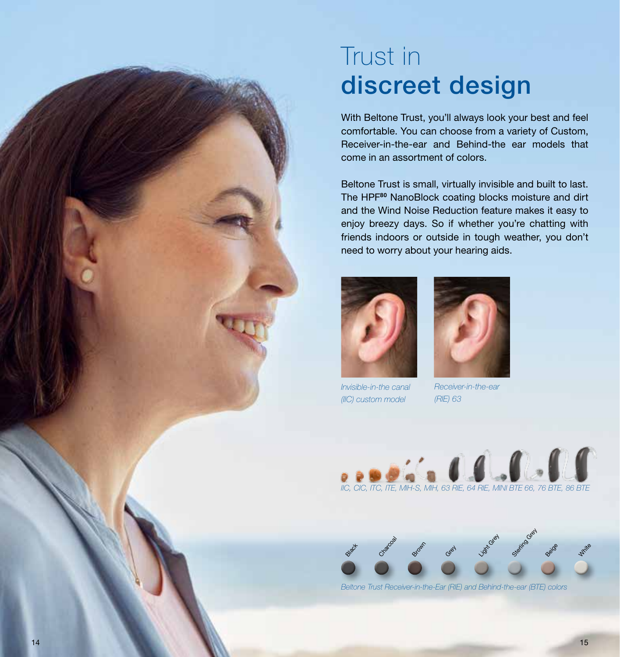## Trust in discreet design

With Beltone Trust, you'll always look your best and feel comfortable. You can choose from a variety of Custom, Receiver-in-the-ear and Behind-the ear models that come in an assortment of colors.

Beltone Trust is small, virtually invisible and built to last. The HPF<sup>80</sup> NanoBlock coating blocks moisture and dirt and the Wind Noise Reduction feature makes it easy to enjoy breezy days. So if whether you're chatting with friends indoors or outside in tough weather, you don't need to worry about your hearing aids.



Invisible-in-the canal (IIC) custom model



Receiver-in-the-ear (RIE) 63





Beltone Trust Receiver-in-the-Ear (RIE) and Behind-the-ear (BTE) colors